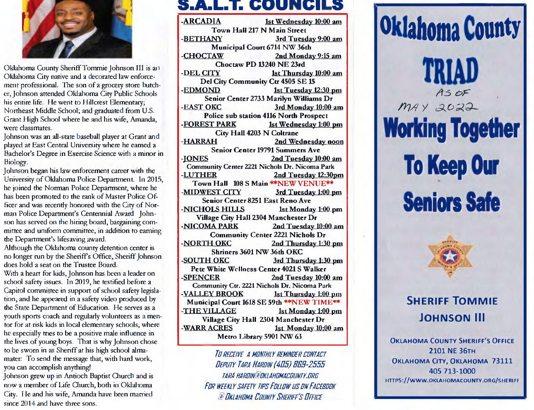

Oklahoma County Sheriff Tommie Johnson III is an Oklahoma City native and a decorated law enforcemerit professional. The son of a grocery store butcher, Johnson attended Oklahoma *City* Public Schools his entire life. He went to Hillcrest Elementary; Northeast Middle School; and graduated from U.S. Grant High School where he and his wife, Amanda, were classmates.

Johnson was an all-state baseball player at Grant and played at East Central University where he earned a Bachelor's Degree in Exercise Science with a minor in Biology.

Johnson began his law enforcement career with the University of Oklahoma Police Department, in 2015, he joined the Norman Police Department, where he has been promoted to the rank of Master Police Officer and was recently honored with the City of Norman Police Department's Centennial Award. Johnson has served on the hiring board, bargaining committee and uniform committee, in addition to earning the Department's lifesaving award. Although the Oklahoma county detention center is no longer run by the Sheriff's Office, Sheriff Johnson does hold a seat on the Trustee Board. With a heart for kids, Johnson has been a leader on school safety issues. In 2019, he testified before a Capitol committee in support of school safety legislation, and he appeared in a safety video produced by the State Department of Education. He serves as a youth sports coach and regularly volunteers as a mentor for at risk kids in local elementary schools, where he especially tries to be a positive male influence in the lives of young boys. That is why Johnson chose to be sworn in as Sheriff at his high school almamater: To send the message that, with hard work, you can accomplish anything!

Johnson grew up in Antioch Baptist Church and is **now** a member of Life Church, both in Oklahoma City. He and his wife, Amanda have been married since 2014 and have three sons.

### **5.A.L.T. COUNCILS**

**-ARCADIA 1st Wednesday 10:00 am Town Hall 217 N Main Street -BETHANY 3rd Tuesday 9:00 am Municipal Court 6714** NW **36th -CHOCTAW 2nd Monday** 9:15 **am Choctaw PD 13240 NE 23rd -DEL CITY 1st Thursday 10:00 am Del City Community** Ctr **4505 SE 15 -EDMOND 1st Tuesday 12:30 pm Senior Center 2733 Marilyn Williams Dr -EAST OKC 3rd Monday 10:00 am Police sub station 4116 North Prospect -FOREST PARK 1st Wednesday 1:00 pm** City **Hall 4203 N Coltrane FIARRAH** 2nd Wednesday noon **Senior Center 19791 Summers Ave -JONES 2nd Tuesday 10.00 am Community Center 2221 Nichols Dr. Nicoma Park -LUTHER 2nd Tuesday 12:30pm**  Town Hall 108 S Main \*\* NEW VENUE\*\* **-MIDWEST CITY 3rd Tuesday 1:00 pm Senior Center 8251 East Reno Ave -NICHOLS HILLS** 1st **Monday** 1.00 **pm Village** City **Hall** 2304 **Manchester Dr -NICOMA** PARK **2nd Tuesday 10:00 am Community Center 2221 Nichols Dr -NORTH OKC 2nd Thursday 1:30 pm Shriners 3601 NW 36th OKC -SOUTH OKC 3rd Thursday 1:30 pm Pete White Wellness Center 4021 S Walker -SPENCER 2nd Tuesday** 10:00 **am Community Ctr.** 2221 **Nichols Dr. Nicoma Park -VALLEY BROOK 1st Thursday 1:00 pm Municipal Court 1618 SE** 59th **\*\*NEW TIME" -THE VILLAGE 1st Monday 1:00 pm Village** City **Hall 2304 Manchester Dr -WARR ACRES 1st Monday 10:00 am Metro Library 5901 NW 63** 

> **To receive A monthly reminder contact** 11EPIITY 14114114110/N *(4115) 859-2555*  TARA HARDIN<sup>:a:</sup>DKLAHDMACDUNTY.DRG FOR WEEKLY SAFETY TIPS FOLLOW US ON FACEBOOK A DKLAHOMA COUNTY SHERIFF'S OFFICE





## **SHERIFF TOMMIE JOHNSON III**

**OKLAHOMA COUNTY SHERIFF'S OFFICE 2101 NE 36TH OKLAHOMA CITY, OKLAHOMA 73111**  405 713-1000 **HTrPS://WWW.OKLAHOMACOUNTY.ORG/SHERIFF**